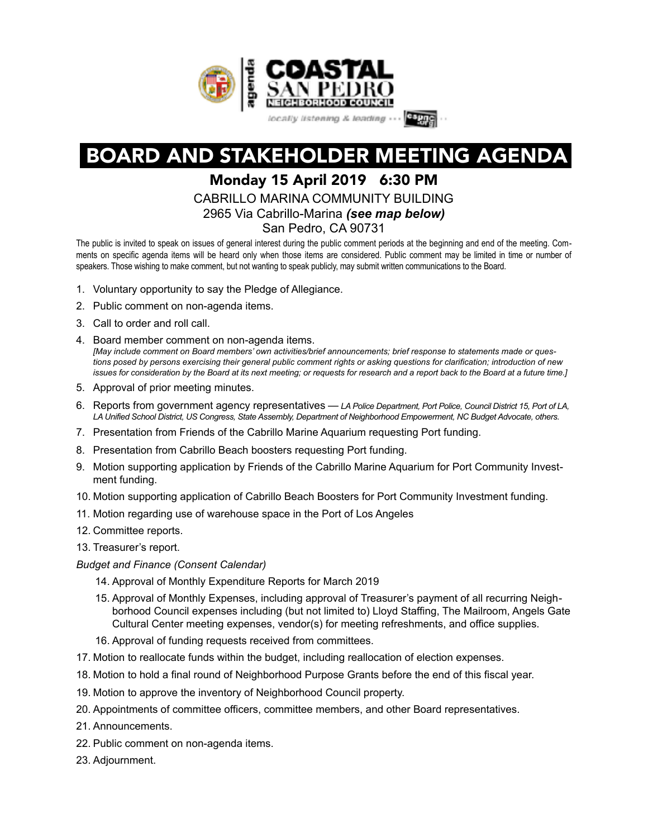

# BOARD AND STAKEHOLDER MEETING AGENDA

## Monday 15 April 2019 6:30 PM

CABRILLO MARINA COMMUNITY BUILDING

2965 Via Cabrillo-Marina *(see map below)*

San Pedro, CA 90731

The public is invited to speak on issues of general interest during the public comment periods at the beginning and end of the meeting. Comments on specific agenda items will be heard only when those items are considered. Public comment may be limited in time or number of speakers. Those wishing to make comment, but not wanting to speak publicly, may submit written communications to the Board.

- 1. Voluntary opportunity to say the Pledge of Allegiance.
- 2. Public comment on non-agenda items.
- 3. Call to order and roll call.
- 4. Board member comment on non-agenda items. *[May include comment on Board members' own activities/brief announcements; brief response to statements made or questions posed by persons exercising their general public comment rights or asking questions for clarification; introduction of new issues for consideration by the Board at its next meeting; or requests for research and a report back to the Board at a future time.]*
- 5. Approval of prior meeting minutes.
- 6. Reports from government agency representatives *LA Police Department, Port Police, Council District 15, Port of LA, LA Unified School District, US Congress, State Assembly, Department of Neighborhood Empowerment, NC Budget Advocate, others.*
- 7. Presentation from Friends of the Cabrillo Marine Aquarium requesting Port funding.
- 8. Presentation from Cabrillo Beach boosters requesting Port funding.
- 9. Motion supporting application by Friends of the Cabrillo Marine Aquarium for Port Community Investment funding.
- 10. Motion supporting application of Cabrillo Beach Boosters for Port Community Investment funding.
- 11. Motion regarding use of warehouse space in the Port of Los Angeles
- 12. Committee reports.
- 13. Treasurer's report.

#### *Budget and Finance (Consent Calendar)*

- 14. Approval of Monthly Expenditure Reports for March 2019
- 15. Approval of Monthly Expenses, including approval of Treasurer's payment of all recurring Neighborhood Council expenses including (but not limited to) Lloyd Staffing, The Mailroom, Angels Gate Cultural Center meeting expenses, vendor(s) for meeting refreshments, and office supplies.
- 16. Approval of funding requests received from committees.
- 17. Motion to reallocate funds within the budget, including reallocation of election expenses.
- 18. Motion to hold a final round of Neighborhood Purpose Grants before the end of this fiscal year.
- 19. Motion to approve the inventory of Neighborhood Council property.
- 20. Appointments of committee officers, committee members, and other Board representatives.
- 21. Announcements.
- 22. Public comment on non-agenda items.
- 23. Adjournment.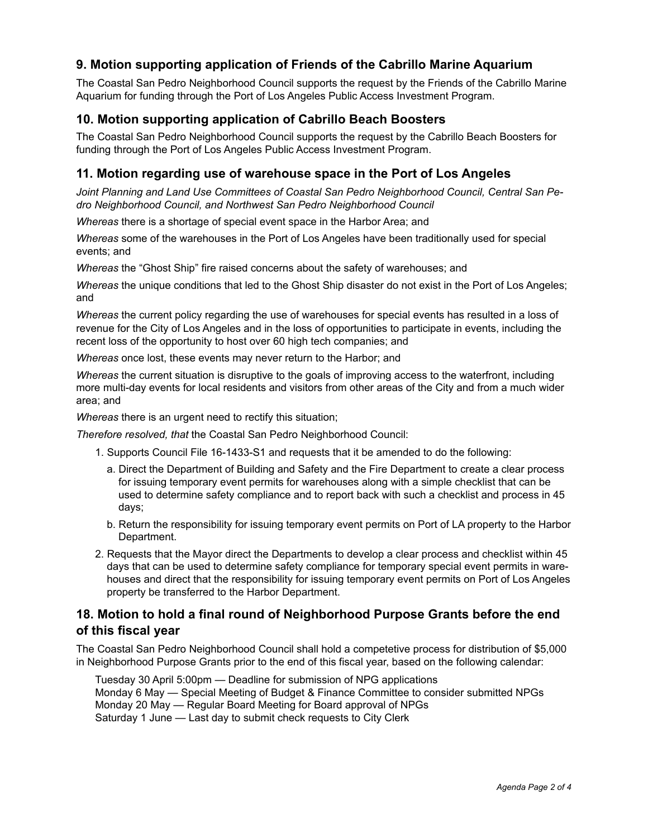## **9. Motion supporting application of Friends of the Cabrillo Marine Aquarium**

The Coastal San Pedro Neighborhood Council supports the request by the Friends of the Cabrillo Marine Aquarium for funding through the Port of Los Angeles Public Access Investment Program.

### **10. Motion supporting application of Cabrillo Beach Boosters**

The Coastal San Pedro Neighborhood Council supports the request by the Cabrillo Beach Boosters for funding through the Port of Los Angeles Public Access Investment Program.

#### **11. Motion regarding use of warehouse space in the Port of Los Angeles**

*Joint Planning and Land Use Committees of Coastal San Pedro Neighborhood Council, Central San Pedro Neighborhood Council, and Northwest San Pedro Neighborhood Council* 

*Whereas* there is a shortage of special event space in the Harbor Area; and

*Whereas* some of the warehouses in the Port of Los Angeles have been traditionally used for special events; and

*Whereas* the "Ghost Ship" fire raised concerns about the safety of warehouses; and

*Whereas* the unique conditions that led to the Ghost Ship disaster do not exist in the Port of Los Angeles; and

*Whereas* the current policy regarding the use of warehouses for special events has resulted in a loss of revenue for the City of Los Angeles and in the loss of opportunities to participate in events, including the recent loss of the opportunity to host over 60 high tech companies; and

*Whereas* once lost, these events may never return to the Harbor; and

*Whereas* the current situation is disruptive to the goals of improving access to the waterfront, including more multi-day events for local residents and visitors from other areas of the City and from a much wider area; and

*Whereas* there is an urgent need to rectify this situation;

*Therefore resolved, that* the Coastal San Pedro Neighborhood Council:

- 1. Supports Council File 16-1433-S1 and requests that it be amended to do the following:
	- a. Direct the Department of Building and Safety and the Fire Department to create a clear process for issuing temporary event permits for warehouses along with a simple checklist that can be used to determine safety compliance and to report back with such a checklist and process in 45 days;
	- b. Return the responsibility for issuing temporary event permits on Port of LA property to the Harbor Department.
- 2. Requests that the Mayor direct the Departments to develop a clear process and checklist within 45 days that can be used to determine safety compliance for temporary special event permits in warehouses and direct that the responsibility for issuing temporary event permits on Port of Los Angeles property be transferred to the Harbor Department.

#### **18. Motion to hold a final round of Neighborhood Purpose Grants before the end of this fiscal year**

The Coastal San Pedro Neighborhood Council shall hold a competetive process for distribution of \$5,000 in Neighborhood Purpose Grants prior to the end of this fiscal year, based on the following calendar:

Tuesday 30 April 5:00pm — Deadline for submission of NPG applications Monday 6 May — Special Meeting of Budget & Finance Committee to consider submitted NPGs Monday 20 May — Regular Board Meeting for Board approval of NPGs Saturday 1 June — Last day to submit check requests to City Clerk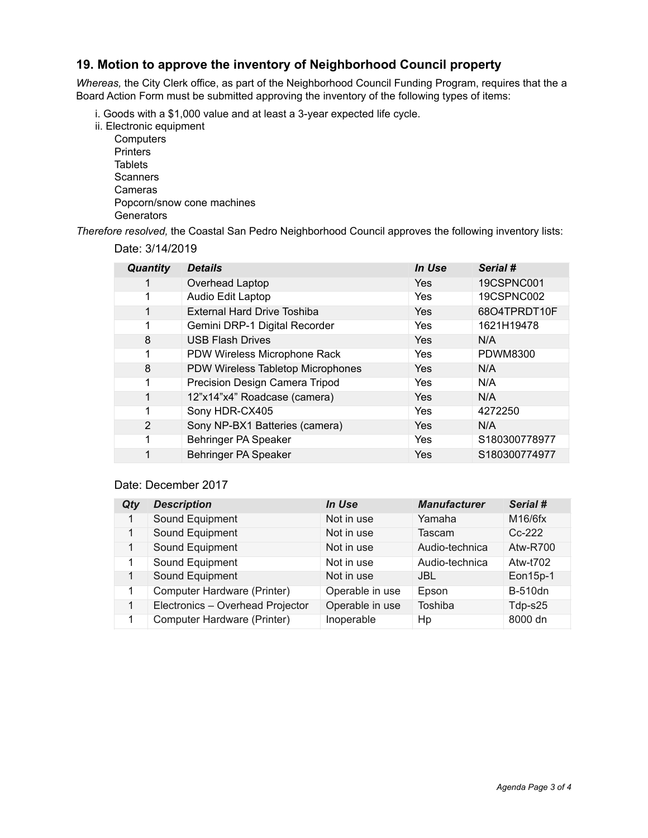#### **19. Motion to approve the inventory of Neighborhood Council property**

*Whereas,* the City Clerk office, as part of the Neighborhood Council Funding Program, requires that the a Board Action Form must be submitted approving the inventory of the following types of items:

- i. Goods with a \$1,000 value and at least a 3-year expected life cycle.
- ii. Electronic equipment
	- **Computers Printers Tablets Scanners**  Cameras Popcorn/snow cone machines **Generators**

*Therefore resolved,* the Coastal San Pedro Neighborhood Council approves the following inventory lists:

| Date: 3/14/2019 |  |
|-----------------|--|
|-----------------|--|

| <b>Quantity</b> | <b>Details</b>                     | In Use     | Serial #          |
|-----------------|------------------------------------|------------|-------------------|
| 1               | Overhead Laptop                    | Yes        | <b>19CSPNC001</b> |
| 1               | Audio Edit Laptop                  | Yes        | 19CSPNC002        |
| 1               | <b>External Hard Drive Toshiba</b> | <b>Yes</b> | 68O4TPRDT10F      |
| 1               | Gemini DRP-1 Digital Recorder      | <b>Yes</b> | 1621H19478        |
| 8               | <b>USB Flash Drives</b>            | <b>Yes</b> | N/A               |
| 1               | PDW Wireless Microphone Rack       | Yes        | <b>PDWM8300</b>   |
| 8               | PDW Wireless Tabletop Microphones  | Yes        | N/A               |
| 1               | Precision Design Camera Tripod     | Yes        | N/A               |
| $\mathbf{1}$    | 12"x14"x4" Roadcase (camera)       | Yes        | N/A               |
| 1               | Sony HDR-CX405                     | Yes        | 4272250           |
| 2               | Sony NP-BX1 Batteries (camera)     | Yes        | N/A               |
| 1               | Behringer PA Speaker               | Yes        | S180300778977     |
| 1               | Behringer PA Speaker               | Yes        | S180300774977     |

#### Date: December 2017

| Qty          | <b>Description</b>               | In Use          | <b>Manufacturer</b> | Serial #        |
|--------------|----------------------------------|-----------------|---------------------|-----------------|
| 1            | Sound Equipment                  | Not in use      | Yamaha              | M16/6fx         |
| 1            | Sound Equipment                  | Not in use      | Tascam              | $Cc-222$        |
| $\mathbf{1}$ | Sound Equipment                  | Not in use      | Audio-technica      | <b>Atw-R700</b> |
| $\mathbf{1}$ | Sound Equipment                  | Not in use      | Audio-technica      | Atw-t702        |
| 1            | Sound Equipment                  | Not in use      | <b>JBL</b>          | Eon15p-1        |
| 1            | Computer Hardware (Printer)      | Operable in use | Epson               | <b>B-510dn</b>  |
| 1            | Electronics - Overhead Projector | Operable in use | Toshiba             | Tdp-s25         |
| 1            | Computer Hardware (Printer)      | Inoperable      | Hp                  | 8000 dn         |